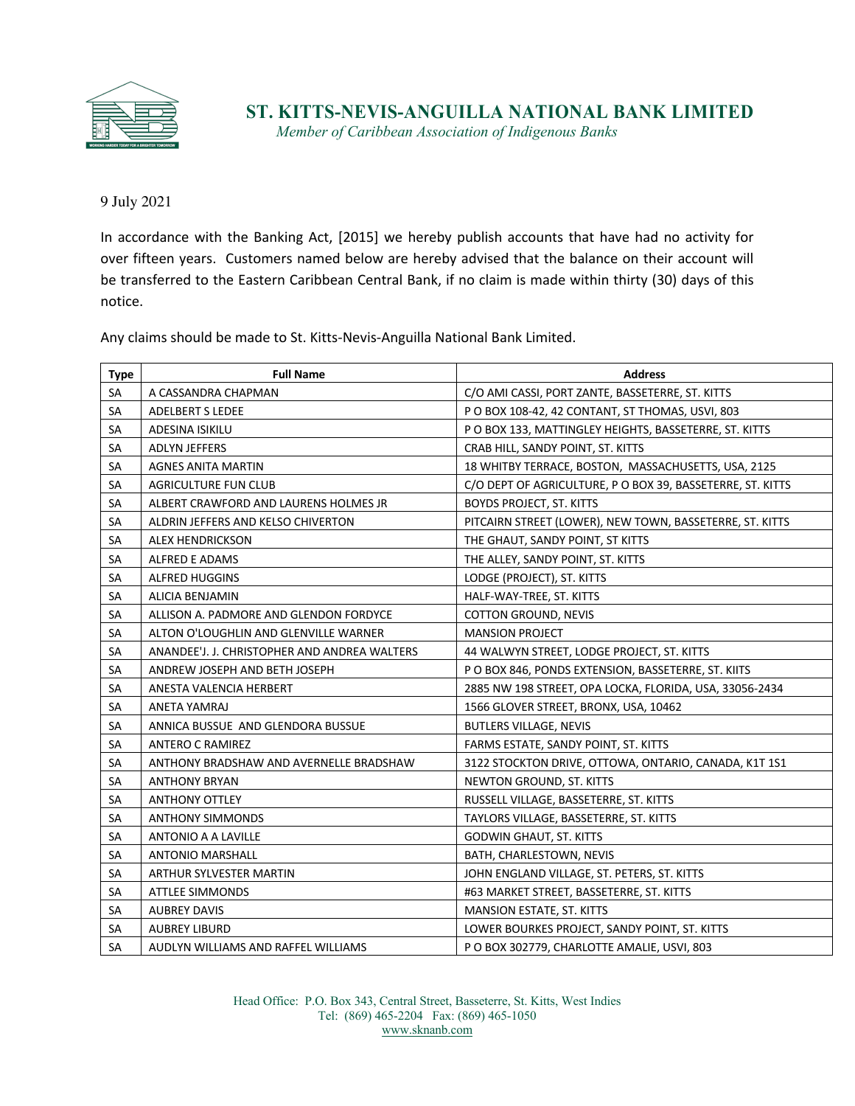

**ST. KITTS-NEVIS-ANGUILLA NATIONAL BANK LIMITED**

*Member of Caribbean Association of Indigenous Banks*

9 July 2021

In accordance with the Banking Act, [2015] we hereby publish accounts that have had no activity for over fifteen years. Customers named below are hereby advised that the balance on their account will be transferred to the Eastern Caribbean Central Bank, if no claim is made within thirty (30) days of this notice.

Any claims should be made to St. Kitts-Nevis-Anguilla National Bank Limited.

| <b>Type</b> | <b>Full Name</b>                             | <b>Address</b>                                             |
|-------------|----------------------------------------------|------------------------------------------------------------|
| <b>SA</b>   | A CASSANDRA CHAPMAN                          | C/O AMI CASSI, PORT ZANTE, BASSETERRE, ST. KITTS           |
| SA          | <b>ADELBERT S LEDEE</b>                      | P O BOX 108-42, 42 CONTANT, ST THOMAS, USVI, 803           |
| SA          | ADESINA ISIKILU                              | P O BOX 133, MATTINGLEY HEIGHTS, BASSETERRE, ST. KITTS     |
| SA          | <b>ADLYN JEFFERS</b>                         | CRAB HILL, SANDY POINT, ST. KITTS                          |
| SA          | <b>AGNES ANITA MARTIN</b>                    | 18 WHITBY TERRACE, BOSTON, MASSACHUSETTS, USA, 2125        |
| SA          | <b>AGRICULTURE FUN CLUB</b>                  | C/O DEPT OF AGRICULTURE, P O BOX 39, BASSETERRE, ST. KITTS |
| SA          | ALBERT CRAWFORD AND LAURENS HOLMES JR        | <b>BOYDS PROJECT, ST. KITTS</b>                            |
| SA          | ALDRIN JEFFERS AND KELSO CHIVERTON           | PITCAIRN STREET (LOWER), NEW TOWN, BASSETERRE, ST. KITTS   |
| SA          | <b>ALEX HENDRICKSON</b>                      | THE GHAUT, SANDY POINT, ST KITTS                           |
| SA          | ALFRED E ADAMS                               | THE ALLEY, SANDY POINT, ST. KITTS                          |
| SA          | <b>ALFRED HUGGINS</b>                        | LODGE (PROJECT), ST. KITTS                                 |
| SA          | ALICIA BENJAMIN                              | HALF-WAY-TREE, ST. KITTS                                   |
| SA          | ALLISON A. PADMORE AND GLENDON FORDYCE       | <b>COTTON GROUND, NEVIS</b>                                |
| SA          | ALTON O'LOUGHLIN AND GLENVILLE WARNER        | <b>MANSION PROJECT</b>                                     |
| SA          | ANANDEE'J. J. CHRISTOPHER AND ANDREA WALTERS | 44 WALWYN STREET, LODGE PROJECT, ST. KITTS                 |
| SA          | ANDREW JOSEPH AND BETH JOSEPH                | P O BOX 846, PONDS EXTENSION, BASSETERRE, ST. KIITS        |
| SA          | ANESTA VALENCIA HERBERT                      | 2885 NW 198 STREET, OPA LOCKA, FLORIDA, USA, 33056-2434    |
| SA          | ANETA YAMRAJ                                 | 1566 GLOVER STREET, BRONX, USA, 10462                      |
| SA          | ANNICA BUSSUE AND GLENDORA BUSSUE            | <b>BUTLERS VILLAGE, NEVIS</b>                              |
| SA          | <b>ANTERO C RAMIREZ</b>                      | FARMS ESTATE, SANDY POINT, ST. KITTS                       |
| SA          | ANTHONY BRADSHAW AND AVERNELLE BRADSHAW      | 3122 STOCKTON DRIVE, OTTOWA, ONTARIO, CANADA, K1T 1S1      |
| SA          | <b>ANTHONY BRYAN</b>                         | NEWTON GROUND, ST. KITTS                                   |
| SA          | <b>ANTHONY OTTLEY</b>                        | RUSSELL VILLAGE, BASSETERRE, ST. KITTS                     |
| SA          | <b>ANTHONY SIMMONDS</b>                      | TAYLORS VILLAGE, BASSETERRE, ST. KITTS                     |
| SA          | ANTONIO A A LAVILLE                          | <b>GODWIN GHAUT, ST. KITTS</b>                             |
| SA          | <b>ANTONIO MARSHALL</b>                      | BATH, CHARLESTOWN, NEVIS                                   |
| SA          | ARTHUR SYLVESTER MARTIN                      | JOHN ENGLAND VILLAGE, ST. PETERS, ST. KITTS                |
| SA          | <b>ATTLEE SIMMONDS</b>                       | #63 MARKET STREET, BASSETERRE, ST. KITTS                   |
| SA          | <b>AUBREY DAVIS</b>                          | MANSION ESTATE, ST. KITTS                                  |
| SA          | <b>AUBREY LIBURD</b>                         | LOWER BOURKES PROJECT, SANDY POINT, ST. KITTS              |
| SA          | AUDLYN WILLIAMS AND RAFFEL WILLIAMS          | P O BOX 302779, CHARLOTTE AMALIE, USVI, 803                |

Head Office: P.O. Box 343, Central Street, Basseterre, St. Kitts, West Indies Tel: (869) 465-2204 Fax: (869) 465-1050 www.sknanb.com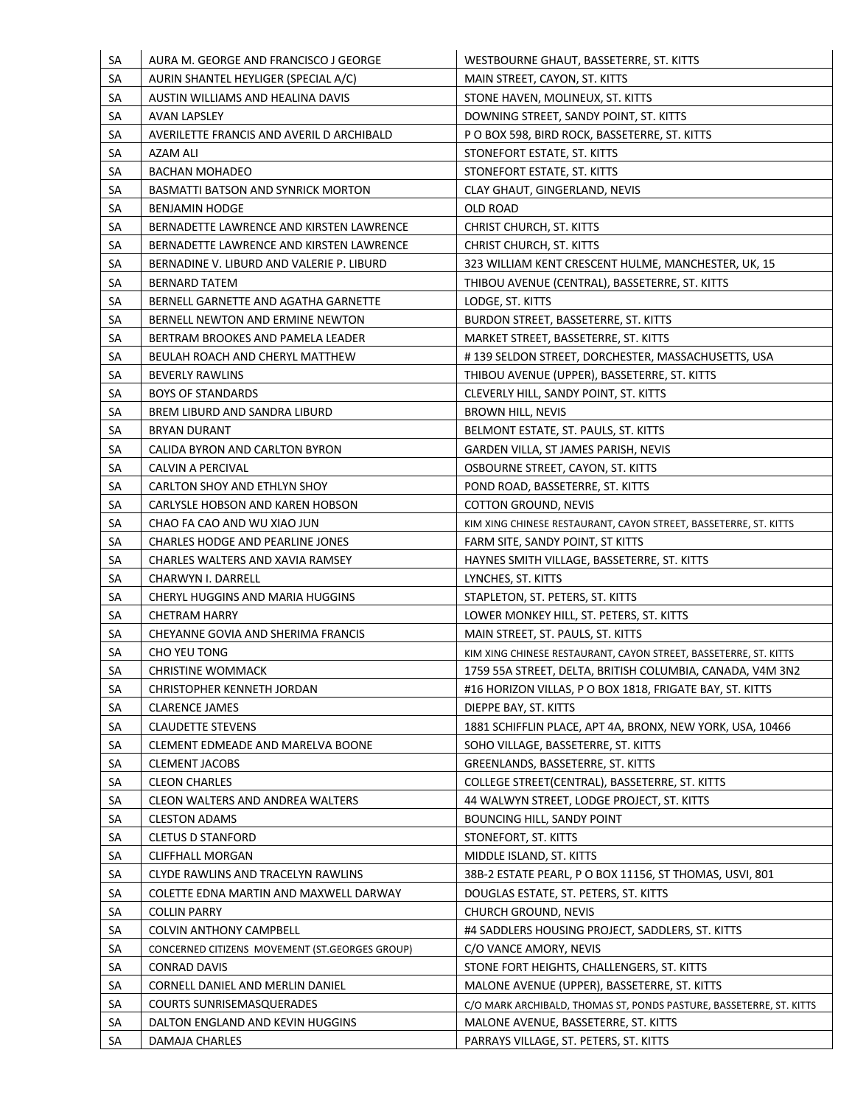| <b>SA</b> | AURA M. GEORGE AND FRANCISCO J GEORGE                         | WESTBOURNE GHAUT, BASSETERRE, ST. KITTS                              |
|-----------|---------------------------------------------------------------|----------------------------------------------------------------------|
| SA        | AURIN SHANTEL HEYLIGER (SPECIAL A/C)                          | MAIN STREET, CAYON, ST. KITTS                                        |
| SA        | AUSTIN WILLIAMS AND HEALINA DAVIS                             | STONE HAVEN, MOLINEUX, ST. KITTS                                     |
| SА        | AVAN LAPSLEY                                                  | DOWNING STREET, SANDY POINT, ST. KITTS                               |
| SA        | AVERILETTE FRANCIS AND AVERIL D ARCHIBALD                     | P O BOX 598, BIRD ROCK, BASSETERRE, ST. KITTS                        |
| SА        | AZAM ALI                                                      | STONEFORT ESTATE, ST. KITTS                                          |
| SA        | <b>BACHAN MOHADEO</b>                                         | STONEFORT ESTATE, ST. KITTS                                          |
| SA        | BASMATTI BATSON AND SYNRICK MORTON                            | CLAY GHAUT, GINGERLAND, NEVIS                                        |
| SА        | <b>BENJAMIN HODGE</b>                                         | OLD ROAD                                                             |
| SА        | BERNADETTE LAWRENCE AND KIRSTEN LAWRENCE                      | CHRIST CHURCH, ST. KITTS                                             |
| SA        | BERNADETTE LAWRENCE AND KIRSTEN LAWRENCE                      | CHRIST CHURCH, ST. KITTS                                             |
| SA        | BERNADINE V. LIBURD AND VALERIE P. LIBURD                     | 323 WILLIAM KENT CRESCENT HULME, MANCHESTER, UK, 15                  |
| SA        | <b>BERNARD TATEM</b>                                          | THIBOU AVENUE (CENTRAL), BASSETERRE, ST. KITTS                       |
| SA        | BERNELL GARNETTE AND AGATHA GARNETTE                          | LODGE, ST. KITTS                                                     |
| SA        | BERNELL NEWTON AND ERMINE NEWTON                              | BURDON STREET, BASSETERRE, ST. KITTS                                 |
| SA        | BERTRAM BROOKES AND PAMELA LEADER                             | MARKET STREET, BASSETERRE, ST. KITTS                                 |
| SА        | BEULAH ROACH AND CHERYL MATTHEW                               | #139 SELDON STREET, DORCHESTER, MASSACHUSETTS, USA                   |
| SA        | <b>BEVERLY RAWLINS</b>                                        | THIBOU AVENUE (UPPER), BASSETERRE, ST. KITTS                         |
| SА        | <b>BOYS OF STANDARDS</b>                                      | CLEVERLY HILL, SANDY POINT, ST. KITTS                                |
| SA        | BREM LIBURD AND SANDRA LIBURD                                 | BROWN HILL, NEVIS                                                    |
| SA        | <b>BRYAN DURANT</b>                                           | BELMONT ESTATE, ST. PAULS, ST. KITTS                                 |
| SA        | CALIDA BYRON AND CARLTON BYRON                                | GARDEN VILLA, ST JAMES PARISH, NEVIS                                 |
| SА        | CALVIN A PERCIVAL                                             | OSBOURNE STREET, CAYON, ST. KITTS                                    |
| SА        | CARLTON SHOY AND ETHLYN SHOY                                  | POND ROAD, BASSETERRE, ST. KITTS                                     |
| SA        | CARLYSLE HOBSON AND KAREN HOBSON                              | <b>COTTON GROUND, NEVIS</b>                                          |
| SA        | CHAO FA CAO AND WU XIAO JUN                                   | KIM XING CHINESE RESTAURANT, CAYON STREET, BASSETERRE, ST. KITTS     |
| SA        | CHARLES HODGE AND PEARLINE JONES                              | FARM SITE, SANDY POINT, ST KITTS                                     |
| SА        | CHARLES WALTERS AND XAVIA RAMSEY                              | HAYNES SMITH VILLAGE, BASSETERRE, ST. KITTS                          |
| SA        | CHARWYN I. DARRELL                                            | LYNCHES, ST. KITTS                                                   |
| SA        | CHERYL HUGGINS AND MARIA HUGGINS                              | STAPLETON, ST. PETERS, ST. KITTS                                     |
| SA        | <b>CHETRAM HARRY</b>                                          | LOWER MONKEY HILL, ST. PETERS, ST. KITTS                             |
| SA        | CHEYANNE GOVIA AND SHERIMA FRANCIS                            | MAIN STREET, ST. PAULS, ST. KITTS                                    |
| SA        | CHO YEU TONG                                                  | KIM XING CHINESE RESTAURANT, CAYON STREET, BASSETERRE, ST. KITTS     |
| SA        | <b>CHRISTINE WOMMACK</b>                                      | 1759 55A STREET, DELTA, BRITISH COLUMBIA, CANADA, V4M 3N2            |
| <b>SA</b> | CHRISTOPHER KENNETH JORDAN                                    | #16 HORIZON VILLAS, P O BOX 1818, FRIGATE BAY, ST. KITTS             |
| <b>SA</b> | <b>CLARENCE JAMES</b>                                         | DIEPPE BAY, ST. KITTS                                                |
| SA        | <b>CLAUDETTE STEVENS</b>                                      | 1881 SCHIFFLIN PLACE, APT 4A, BRONX, NEW YORK, USA, 10466            |
| SA        | CLEMENT EDMEADE AND MARELVA BOONE                             | SOHO VILLAGE, BASSETERRE, ST. KITTS                                  |
| <b>SA</b> | <b>CLEMENT JACOBS</b>                                         | GREENLANDS, BASSETERRE, ST. KITTS                                    |
| <b>SA</b> | <b>CLEON CHARLES</b>                                          | COLLEGE STREET(CENTRAL), BASSETERRE, ST. KITTS                       |
| <b>SA</b> | CLEON WALTERS AND ANDREA WALTERS                              | 44 WALWYN STREET, LODGE PROJECT, ST. KITTS                           |
| <b>SA</b> | <b>CLESTON ADAMS</b>                                          | BOUNCING HILL, SANDY POINT                                           |
| <b>SA</b> | <b>CLETUS D STANFORD</b>                                      | STONEFORT, ST. KITTS                                                 |
| SA        | <b>CLIFFHALL MORGAN</b>                                       | MIDDLE ISLAND, ST. KITTS                                             |
| <b>SA</b> | CLYDE RAWLINS AND TRACELYN RAWLINS                            | 38B-2 ESTATE PEARL, P O BOX 11156, ST THOMAS, USVI, 801              |
| <b>SA</b> |                                                               |                                                                      |
| <b>SA</b> | COLETTE EDNA MARTIN AND MAXWELL DARWAY<br><b>COLLIN PARRY</b> | DOUGLAS ESTATE, ST. PETERS, ST. KITTS<br><b>CHURCH GROUND, NEVIS</b> |
|           |                                                               |                                                                      |
| <b>SA</b> | COLVIN ANTHONY CAMPBELL                                       | #4 SADDLERS HOUSING PROJECT, SADDLERS, ST. KITTS                     |
| <b>SA</b> | CONCERNED CITIZENS MOVEMENT (ST.GEORGES GROUP)                | C/O VANCE AMORY, NEVIS                                               |
| SА        | CONRAD DAVIS                                                  | STONE FORT HEIGHTS, CHALLENGERS, ST. KITTS                           |
| SA        | CORNELL DANIEL AND MERLIN DANIEL                              | MALONE AVENUE (UPPER), BASSETERRE, ST. KITTS                         |
| <b>SA</b> | <b>COURTS SUNRISEMASQUERADES</b>                              | C/O MARK ARCHIBALD, THOMAS ST, PONDS PASTURE, BASSETERRE, ST. KITTS  |
| SA        | DALTON ENGLAND AND KEVIN HUGGINS                              | MALONE AVENUE, BASSETERRE, ST. KITTS                                 |
| SA        | DAMAJA CHARLES                                                | PARRAYS VILLAGE, ST. PETERS, ST. KITTS                               |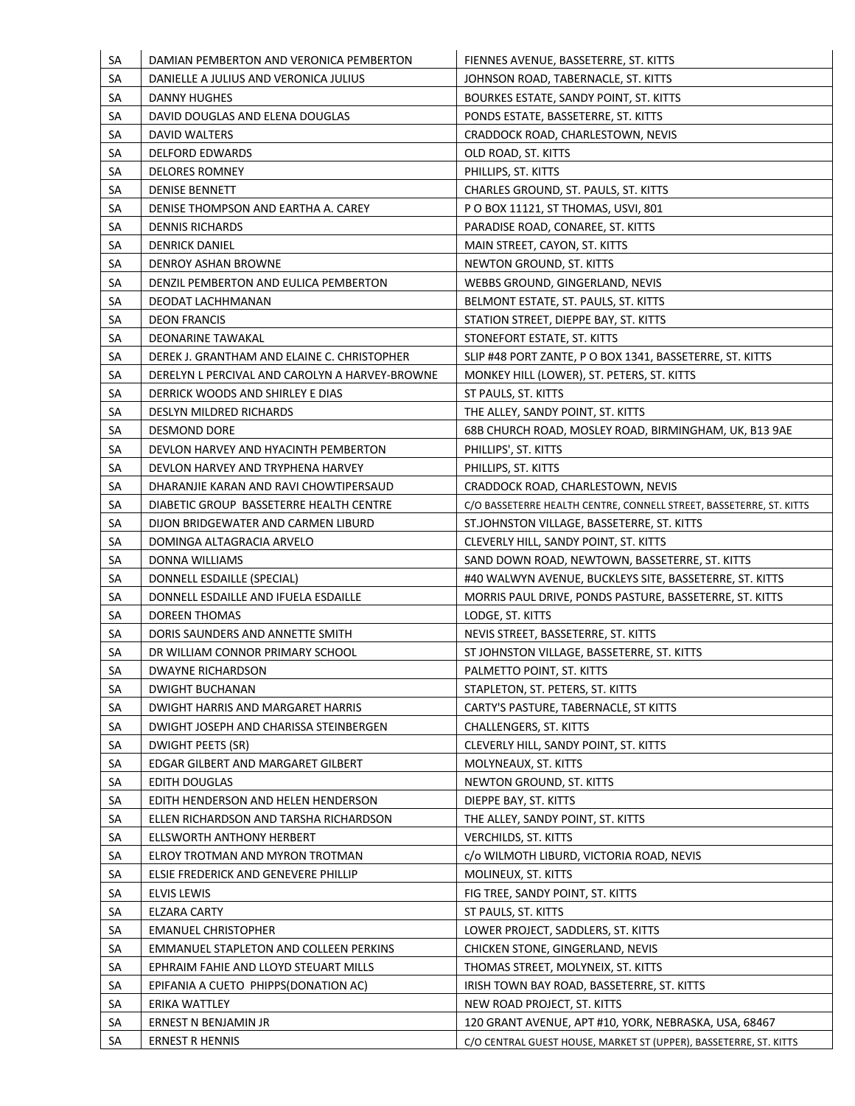| SA<br>SA  | DAMIAN PEMBERTON AND VERONICA PEMBERTON<br>DANIELLE A JULIUS AND VERONICA JULIUS   | FIENNES AVENUE, BASSETERRE, ST. KITTS<br>JOHNSON ROAD, TABERNACLE, ST. KITTS |
|-----------|------------------------------------------------------------------------------------|------------------------------------------------------------------------------|
| SA        | DANNY HUGHES                                                                       | BOURKES ESTATE, SANDY POINT, ST. KITTS                                       |
| SA        | DAVID DOUGLAS AND ELENA DOUGLAS                                                    | PONDS ESTATE, BASSETERRE, ST. KITTS                                          |
| SA        | DAVID WALTERS                                                                      | CRADDOCK ROAD, CHARLESTOWN, NEVIS                                            |
| SA        | <b>DELFORD EDWARDS</b>                                                             | OLD ROAD, ST. KITTS                                                          |
| SA        | <b>DELORES ROMNEY</b>                                                              | PHILLIPS, ST. KITTS                                                          |
| SA        | <b>DENISE BENNETT</b>                                                              | CHARLES GROUND, ST. PAULS, ST. KITTS                                         |
| SA        | DENISE THOMPSON AND EARTHA A. CAREY                                                | P O BOX 11121, ST THOMAS, USVI, 801                                          |
| SA        | <b>DENNIS RICHARDS</b>                                                             | PARADISE ROAD, CONAREE, ST. KITTS                                            |
| SA        | <b>DENRICK DANIEL</b>                                                              | MAIN STREET, CAYON, ST. KITTS                                                |
| SA        | DENROY ASHAN BROWNE                                                                | NEWTON GROUND, ST. KITTS                                                     |
| SA        | DENZIL PEMBERTON AND EULICA PEMBERTON                                              | WEBBS GROUND, GINGERLAND, NEVIS                                              |
| SA        | DEODAT LACHHMANAN                                                                  | BELMONT ESTATE, ST. PAULS, ST. KITTS                                         |
| SA        | <b>DEON FRANCIS</b>                                                                | STATION STREET, DIEPPE BAY, ST. KITTS                                        |
| SA        | <b>DEONARINE TAWAKAL</b>                                                           |                                                                              |
|           |                                                                                    | STONEFORT ESTATE, ST. KITTS                                                  |
| SA        | DEREK J. GRANTHAM AND ELAINE C. CHRISTOPHER                                        | SLIP #48 PORT ZANTE, P O BOX 1341, BASSETERRE, ST. KITTS                     |
| SA        | DERELYN L PERCIVAL AND CAROLYN A HARVEY-BROWNE<br>DERRICK WOODS AND SHIRLEY E DIAS | MONKEY HILL (LOWER), ST. PETERS, ST. KITTS                                   |
| SA        |                                                                                    | ST PAULS, ST. KITTS                                                          |
| SA        | DESLYN MILDRED RICHARDS                                                            | THE ALLEY, SANDY POINT, ST. KITTS                                            |
| SA        | <b>DESMOND DORE</b>                                                                | 68B CHURCH ROAD, MOSLEY ROAD, BIRMINGHAM, UK, B13 9AE                        |
| SA        | DEVLON HARVEY AND HYACINTH PEMBERTON                                               | PHILLIPS', ST. KITTS                                                         |
| SA        | DEVLON HARVEY AND TRYPHENA HARVEY                                                  | PHILLIPS, ST. KITTS                                                          |
| SA        | DHARANJIE KARAN AND RAVI CHOWTIPERSAUD                                             | CRADDOCK ROAD, CHARLESTOWN, NEVIS                                            |
| SA        | DIABETIC GROUP BASSETERRE HEALTH CENTRE                                            | C/O BASSETERRE HEALTH CENTRE, CONNELL STREET, BASSETERRE, ST. KITTS          |
| SA        | DIJON BRIDGEWATER AND CARMEN LIBURD                                                | ST.JOHNSTON VILLAGE, BASSETERRE, ST. KITTS                                   |
| SA        | DOMINGA ALTAGRACIA ARVELO                                                          | CLEVERLY HILL, SANDY POINT, ST. KITTS                                        |
| SA        | DONNA WILLIAMS                                                                     | SAND DOWN ROAD, NEWTOWN, BASSETERRE, ST. KITTS                               |
| SA        | DONNELL ESDAILLE (SPECIAL)                                                         | #40 WALWYN AVENUE, BUCKLEYS SITE, BASSETERRE, ST. KITTS                      |
| SA        | DONNELL ESDAILLE AND IFUELA ESDAILLE                                               | MORRIS PAUL DRIVE, PONDS PASTURE, BASSETERRE, ST. KITTS                      |
| SA        | <b>DOREEN THOMAS</b>                                                               | LODGE, ST. KITTS                                                             |
| SA        | DORIS SAUNDERS AND ANNETTE SMITH                                                   | NEVIS STREET, BASSETERRE, ST. KITTS                                          |
| SA        | DR WILLIAM CONNOR PRIMARY SCHOOL                                                   | ST JOHNSTON VILLAGE, BASSETERRE, ST. KITTS                                   |
| SA        | <b>DWAYNE RICHARDSON</b>                                                           | PALMETTO POINT, ST. KITTS                                                    |
| <b>SA</b> | <b>DWIGHT BUCHANAN</b>                                                             | STAPLETON, ST. PETERS, ST. KITTS                                             |
| SA        | DWIGHT HARRIS AND MARGARET HARRIS                                                  | CARTY'S PASTURE, TABERNACLE, ST KITTS                                        |
| SA        | DWIGHT JOSEPH AND CHARISSA STEINBERGEN                                             | <b>CHALLENGERS, ST. KITTS</b>                                                |
| SA        | DWIGHT PEETS (SR)                                                                  | CLEVERLY HILL, SANDY POINT, ST. KITTS                                        |
| SA        | EDGAR GILBERT AND MARGARET GILBERT                                                 | MOLYNEAUX, ST. KITTS                                                         |
| SA        | EDITH DOUGLAS                                                                      | NEWTON GROUND, ST. KITTS                                                     |
| SA        | EDITH HENDERSON AND HELEN HENDERSON                                                | DIEPPE BAY, ST. KITTS                                                        |
| SA        | ELLEN RICHARDSON AND TARSHA RICHARDSON                                             | THE ALLEY, SANDY POINT, ST. KITTS                                            |
| SA        | ELLSWORTH ANTHONY HERBERT                                                          | <b>VERCHILDS, ST. KITTS</b>                                                  |
| SA        | ELROY TROTMAN AND MYRON TROTMAN                                                    | c/o WILMOTH LIBURD, VICTORIA ROAD, NEVIS                                     |
| SA        | ELSIE FREDERICK AND GENEVERE PHILLIP                                               | MOLINEUX, ST. KITTS                                                          |
| SA        | <b>ELVIS LEWIS</b>                                                                 | FIG TREE, SANDY POINT, ST. KITTS                                             |
| <b>SA</b> | <b>ELZARA CARTY</b>                                                                | ST PAULS, ST. KITTS                                                          |
| SA        | <b>EMANUEL CHRISTOPHER</b>                                                         | LOWER PROJECT, SADDLERS, ST. KITTS                                           |
| SA        | EMMANUEL STAPLETON AND COLLEEN PERKINS                                             | CHICKEN STONE, GINGERLAND, NEVIS                                             |
| SA        | EPHRAIM FAHIE AND LLOYD STEUART MILLS                                              | THOMAS STREET, MOLYNEIX, ST. KITTS                                           |
| SA        | EPIFANIA A CUETO PHIPPS(DONATION AC)                                               | IRISH TOWN BAY ROAD, BASSETERRE, ST. KITTS                                   |
| <b>SA</b> | ERIKA WATTLEY                                                                      | NEW ROAD PROJECT, ST. KITTS                                                  |
| <b>SA</b> | ERNEST N BENJAMIN JR                                                               | 120 GRANT AVENUE, APT #10, YORK, NEBRASKA, USA, 68467                        |
| SA        | <b>ERNEST R HENNIS</b>                                                             | C/O CENTRAL GUEST HOUSE, MARKET ST (UPPER), BASSETERRE, ST. KITTS            |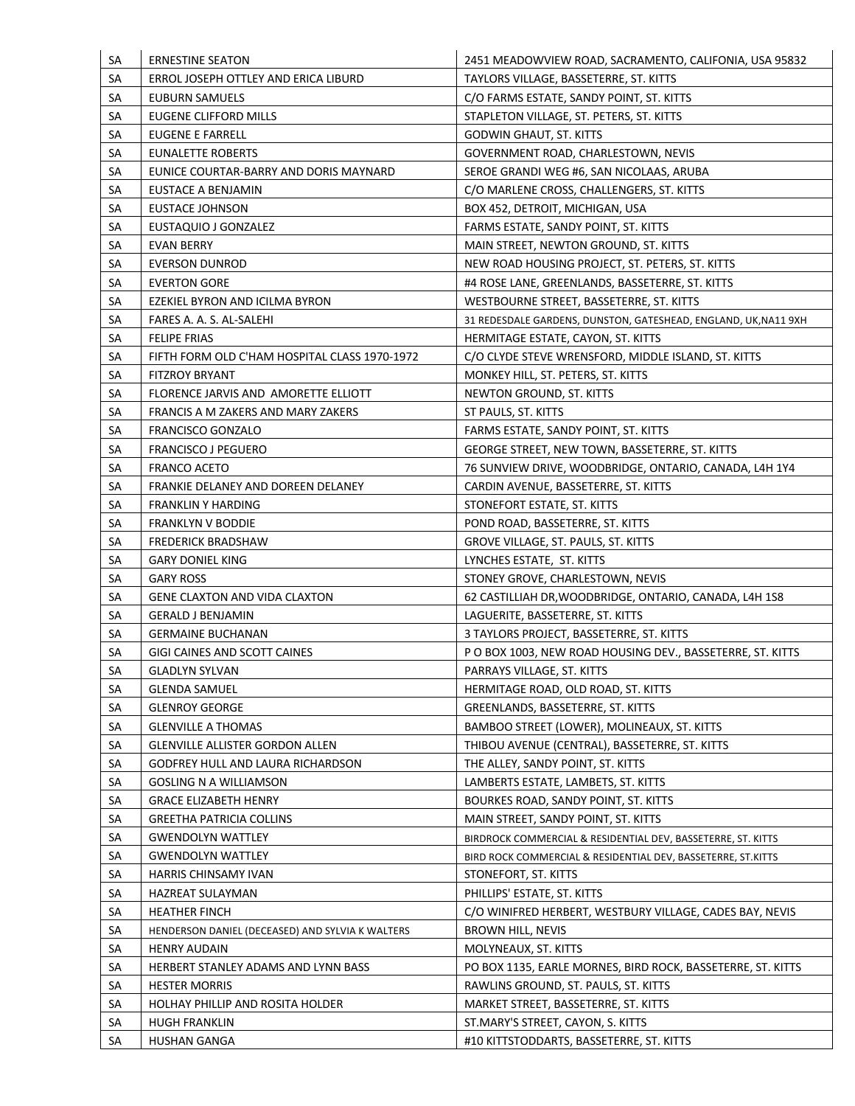| SA        | <b>ERNESTINE SEATON</b>                          | 2451 MEADOWVIEW ROAD, SACRAMENTO, CALIFONIA, USA 95832          |
|-----------|--------------------------------------------------|-----------------------------------------------------------------|
| SA        | ERROL JOSEPH OTTLEY AND ERICA LIBURD             | TAYLORS VILLAGE, BASSETERRE, ST. KITTS                          |
| SA        | EUBURN SAMUELS                                   | C/O FARMS ESTATE, SANDY POINT, ST. KITTS                        |
| SA        | EUGENE CLIFFORD MILLS                            | STAPLETON VILLAGE, ST. PETERS, ST. KITTS                        |
| SA        | EUGENE E FARRELL                                 | <b>GODWIN GHAUT, ST. KITTS</b>                                  |
| SA        | EUNALETTE ROBERTS                                | GOVERNMENT ROAD, CHARLESTOWN, NEVIS                             |
| SA        | EUNICE COURTAR-BARRY AND DORIS MAYNARD           | SEROE GRANDI WEG #6, SAN NICOLAAS, ARUBA                        |
| SA        | EUSTACE A BENJAMIN                               | C/O MARLENE CROSS, CHALLENGERS, ST. KITTS                       |
| SA        | EUSTACE JOHNSON                                  | BOX 452, DETROIT, MICHIGAN, USA                                 |
| SA        | EUSTAQUIO J GONZALEZ                             | FARMS ESTATE, SANDY POINT, ST. KITTS                            |
| SA        | <b>EVAN BERRY</b>                                | MAIN STREET, NEWTON GROUND, ST. KITTS                           |
| SA        | <b>EVERSON DUNROD</b>                            | NEW ROAD HOUSING PROJECT, ST. PETERS, ST. KITTS                 |
| SA        | <b>EVERTON GORE</b>                              | #4 ROSE LANE, GREENLANDS, BASSETERRE, ST. KITTS                 |
| SA        | EZEKIEL BYRON AND ICILMA BYRON                   | WESTBOURNE STREET, BASSETERRE, ST. KITTS                        |
| SA        | FARES A. A. S. AL-SALEHI                         | 31 REDESDALE GARDENS, DUNSTON, GATESHEAD, ENGLAND, UK, NA11 9XH |
| SA        | <b>FELIPE FRIAS</b>                              | HERMITAGE ESTATE, CAYON, ST. KITTS                              |
| SA        | FIFTH FORM OLD C'HAM HOSPITAL CLASS 1970-1972    | C/O CLYDE STEVE WRENSFORD, MIDDLE ISLAND, ST. KITTS             |
| SA        | <b>FITZROY BRYANT</b>                            | MONKEY HILL, ST. PETERS, ST. KITTS                              |
| SA        | FLORENCE JARVIS AND AMORETTE ELLIOTT             | NEWTON GROUND, ST. KITTS                                        |
| SA        | FRANCIS A M ZAKERS AND MARY ZAKERS               | ST PAULS, ST. KITTS                                             |
| SA        | <b>FRANCISCO GONZALO</b>                         | FARMS ESTATE, SANDY POINT, ST. KITTS                            |
| SA        | <b>FRANCISCO J PEGUERO</b>                       | GEORGE STREET, NEW TOWN, BASSETERRE, ST. KITTS                  |
| SA        | <b>FRANCO ACETO</b>                              | 76 SUNVIEW DRIVE, WOODBRIDGE, ONTARIO, CANADA, L4H 1Y4          |
| SA        | FRANKIE DELANEY AND DOREEN DELANEY               | CARDIN AVENUE, BASSETERRE, ST. KITTS                            |
| SA        | <b>FRANKLIN Y HARDING</b>                        | STONEFORT ESTATE, ST. KITTS                                     |
| SA        | <b>FRANKLYN V BODDIE</b>                         | POND ROAD, BASSETERRE, ST. KITTS                                |
| SA        | <b>FREDERICK BRADSHAW</b>                        | GROVE VILLAGE, ST. PAULS, ST. KITTS                             |
| SA        | <b>GARY DONIEL KING</b>                          | LYNCHES ESTATE, ST. KITTS                                       |
| SA        | <b>GARY ROSS</b>                                 | STONEY GROVE, CHARLESTOWN, NEVIS                                |
| SA        | <b>GENE CLAXTON AND VIDA CLAXTON</b>             | 62 CASTILLIAH DR, WOODBRIDGE, ONTARIO, CANADA, L4H 1S8          |
| SA        | <b>GERALD J BENJAMIN</b>                         | LAGUERITE, BASSETERRE, ST. KITTS                                |
| SA        | <b>GERMAINE BUCHANAN</b>                         | 3 TAYLORS PROJECT, BASSETERRE, ST. KITTS                        |
| SA        | GIGI CAINES AND SCOTT CAINES                     | P O BOX 1003, NEW ROAD HOUSING DEV., BASSETERRE, ST. KITTS      |
| SA        | <b>GLADLYN SYLVAN</b>                            | PARRAYS VILLAGE, ST. KITTS                                      |
| SA        | <b>GLENDA SAMUEL</b>                             | HERMITAGE ROAD, OLD ROAD, ST. KITTS                             |
| <b>SA</b> | <b>GLENROY GEORGE</b>                            | GREENLANDS, BASSETERRE, ST. KITTS                               |
|           |                                                  | BAMBOO STREET (LOWER), MOLINEAUX, ST. KITTS                     |
| <b>SA</b> | <b>GLENVILLE A THOMAS</b>                        |                                                                 |
| SA        | GLENVILLE ALLISTER GORDON ALLEN                  | THIBOU AVENUE (CENTRAL), BASSETERRE, ST. KITTS                  |
| SA        | GODFREY HULL AND LAURA RICHARDSON                | THE ALLEY, SANDY POINT, ST. KITTS                               |
| SA        | <b>GOSLING N A WILLIAMSON</b>                    | LAMBERTS ESTATE, LAMBETS, ST. KITTS                             |
| SA        | <b>GRACE ELIZABETH HENRY</b>                     | BOURKES ROAD, SANDY POINT, ST. KITTS                            |
| <b>SA</b> | <b>GREETHA PATRICIA COLLINS</b>                  | MAIN STREET, SANDY POINT, ST. KITTS                             |
| SA        | <b>GWENDOLYN WATTLEY</b>                         | BIRDROCK COMMERCIAL & RESIDENTIAL DEV, BASSETERRE, ST. KITTS    |
| SA        | <b>GWENDOLYN WATTLEY</b>                         | BIRD ROCK COMMERCIAL & RESIDENTIAL DEV, BASSETERRE, ST.KITTS    |
| SA        | HARRIS CHINSAMY IVAN                             | STONEFORT, ST. KITTS                                            |
| SA        | HAZREAT SULAYMAN                                 | PHILLIPS' ESTATE, ST. KITTS                                     |
| SA        | <b>HEATHER FINCH</b>                             | C/O WINIFRED HERBERT, WESTBURY VILLAGE, CADES BAY, NEVIS        |
| SA        | HENDERSON DANIEL (DECEASED) AND SYLVIA K WALTERS | <b>BROWN HILL, NEVIS</b>                                        |
| SA        | <b>HENRY AUDAIN</b>                              | MOLYNEAUX, ST. KITTS                                            |
| SA        | HERBERT STANLEY ADAMS AND LYNN BASS              | PO BOX 1135, EARLE MORNES, BIRD ROCK, BASSETERRE, ST. KITTS     |
| SA        | <b>HESTER MORRIS</b>                             | RAWLINS GROUND, ST. PAULS, ST. KITTS                            |
| SA        | HOLHAY PHILLIP AND ROSITA HOLDER                 | MARKET STREET, BASSETERRE, ST. KITTS                            |
| SA        | <b>HUGH FRANKLIN</b>                             | ST.MARY'S STREET, CAYON, S. KITTS                               |
| SA        | <b>HUSHAN GANGA</b>                              | #10 KITTSTODDARTS, BASSETERRE, ST. KITTS                        |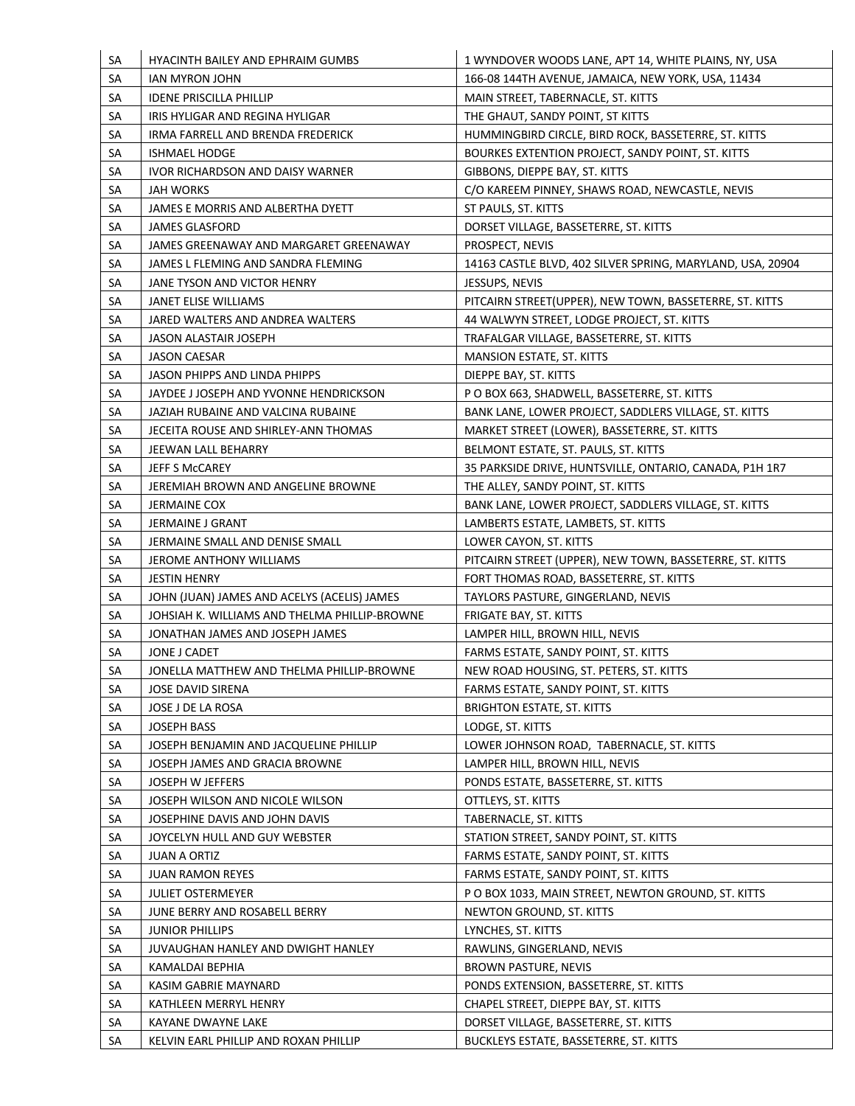| SA        | <b>HYACINTH BAILEY AND EPHRAIM GUMBS</b>      | 1 WYNDOVER WOODS LANE, APT 14, WHITE PLAINS, NY, USA       |
|-----------|-----------------------------------------------|------------------------------------------------------------|
| SA        | IAN MYRON JOHN                                | 166-08 144TH AVENUE, JAMAICA, NEW YORK, USA, 11434         |
| SA        | <b>IDENE PRISCILLA PHILLIP</b>                | MAIN STREET, TABERNACLE, ST. KITTS                         |
| SA        | IRIS HYLIGAR AND REGINA HYLIGAR               | THE GHAUT, SANDY POINT, ST KITTS                           |
| SA        | IRMA FARRELL AND BRENDA FREDERICK             | HUMMINGBIRD CIRCLE, BIRD ROCK, BASSETERRE, ST. KITTS       |
| SA        | <b>ISHMAEL HODGE</b>                          | BOURKES EXTENTION PROJECT, SANDY POINT, ST. KITTS          |
| SA        | IVOR RICHARDSON AND DAISY WARNER              | GIBBONS, DIEPPE BAY, ST. KITTS                             |
| SA        | JAH WORKS                                     | C/O KAREEM PINNEY, SHAWS ROAD, NEWCASTLE, NEVIS            |
| SA        | JAMES E MORRIS AND ALBERTHA DYETT             | ST PAULS, ST. KITTS                                        |
| SA        | <b>JAMES GLASFORD</b>                         | DORSET VILLAGE, BASSETERRE, ST. KITTS                      |
| SA        | JAMES GREENAWAY AND MARGARET GREENAWAY        | PROSPECT, NEVIS                                            |
| SA        | JAMES L FLEMING AND SANDRA FLEMING            | 14163 CASTLE BLVD, 402 SILVER SPRING, MARYLAND, USA, 20904 |
| SA        | JANE TYSON AND VICTOR HENRY                   | JESSUPS, NEVIS                                             |
| SA        | JANET ELISE WILLIAMS                          | PITCAIRN STREET(UPPER), NEW TOWN, BASSETERRE, ST. KITTS    |
| SA        | JARED WALTERS AND ANDREA WALTERS              | 44 WALWYN STREET, LODGE PROJECT, ST. KITTS                 |
| SA        | JASON ALASTAIR JOSEPH                         | TRAFALGAR VILLAGE, BASSETERRE, ST. KITTS                   |
| SA        | JASON CAESAR                                  | MANSION ESTATE, ST. KITTS                                  |
| SA        | JASON PHIPPS AND LINDA PHIPPS                 | DIEPPE BAY, ST. KITTS                                      |
| SA        | JAYDEE J JOSEPH AND YVONNE HENDRICKSON        | P O BOX 663, SHADWELL, BASSETERRE, ST. KITTS               |
| SA        | JAZIAH RUBAINE AND VALCINA RUBAINE            | BANK LANE, LOWER PROJECT, SADDLERS VILLAGE, ST. KITTS      |
| SA        | JECEITA ROUSE AND SHIRLEY-ANN THOMAS          | MARKET STREET (LOWER), BASSETERRE, ST. KITTS               |
| SA        | JEEWAN LALL BEHARRY                           | BELMONT ESTATE, ST. PAULS, ST. KITTS                       |
| SA        | JEFF S McCAREY                                | 35 PARKSIDE DRIVE, HUNTSVILLE, ONTARIO, CANADA, P1H 1R7    |
| SA        | JEREMIAH BROWN AND ANGELINE BROWNE            | THE ALLEY, SANDY POINT, ST. KITTS                          |
| SA        | <b>JERMAINE COX</b>                           | BANK LANE, LOWER PROJECT, SADDLERS VILLAGE, ST. KITTS      |
| SA        | JERMAINE J GRANT                              | LAMBERTS ESTATE, LAMBETS, ST. KITTS                        |
| SA        | JERMAINE SMALL AND DENISE SMALL               | LOWER CAYON, ST. KITTS                                     |
| SA        | JEROME ANTHONY WILLIAMS                       | PITCAIRN STREET (UPPER), NEW TOWN, BASSETERRE, ST. KITTS   |
| SA        | <b>JESTIN HENRY</b>                           | FORT THOMAS ROAD, BASSETERRE, ST. KITTS                    |
| SA        | JOHN (JUAN) JAMES AND ACELYS (ACELIS) JAMES   | TAYLORS PASTURE, GINGERLAND, NEVIS                         |
| SA        | JOHSIAH K. WILLIAMS AND THELMA PHILLIP-BROWNE | FRIGATE BAY, ST. KITTS                                     |
| SA        | JONATHAN JAMES AND JOSEPH JAMES               | LAMPER HILL, BROWN HILL, NEVIS                             |
| SA        | JONE J CADET                                  | FARMS ESTATE, SANDY POINT, ST. KITTS                       |
| SA        | JONELLA MATTHEW AND THELMA PHILLIP-BROWNE     | NEW ROAD HOUSING, ST. PETERS, ST. KITTS                    |
| SA        | JOSE DAVID SIRENA                             | FARMS ESTATE, SANDY POINT, ST. KITTS                       |
| SA        | JOSE J DE LA ROSA                             | <b>BRIGHTON ESTATE, ST. KITTS</b>                          |
|           |                                               |                                                            |
| <b>SA</b> | <b>JOSEPH BASS</b>                            | LODGE, ST. KITTS                                           |
| SA        | JOSEPH BENJAMIN AND JACQUELINE PHILLIP        | LOWER JOHNSON ROAD, TABERNACLE, ST. KITTS                  |
| SA        | JOSEPH JAMES AND GRACIA BROWNE                | LAMPER HILL, BROWN HILL, NEVIS                             |
| SA        | JOSEPH W JEFFERS                              | PONDS ESTATE, BASSETERRE, ST. KITTS                        |
| SA        | JOSEPH WILSON AND NICOLE WILSON               | OTTLEYS, ST. KITTS                                         |
| <b>SA</b> | JOSEPHINE DAVIS AND JOHN DAVIS                | TABERNACLE, ST. KITTS                                      |
| SA        | JOYCELYN HULL AND GUY WEBSTER                 | STATION STREET, SANDY POINT, ST. KITTS                     |
| SA        | <b>JUAN A ORTIZ</b>                           | FARMS ESTATE, SANDY POINT, ST. KITTS                       |
| SA        | <b>JUAN RAMON REYES</b>                       | FARMS ESTATE, SANDY POINT, ST. KITTS                       |
| SA        | <b>JULIET OSTERMEYER</b>                      | P O BOX 1033, MAIN STREET, NEWTON GROUND, ST. KITTS        |
| SA        | JUNE BERRY AND ROSABELL BERRY                 | NEWTON GROUND, ST. KITTS                                   |
| SA        | <b>JUNIOR PHILLIPS</b>                        | LYNCHES, ST. KITTS                                         |
| SA        | JUVAUGHAN HANLEY AND DWIGHT HANLEY            | RAWLINS, GINGERLAND, NEVIS                                 |
| SA        | KAMALDAI BEPHIA                               | <b>BROWN PASTURE, NEVIS</b>                                |
| SA        | KASIM GABRIE MAYNARD                          | PONDS EXTENSION, BASSETERRE, ST. KITTS                     |
| SA        | KATHLEEN MERRYL HENRY                         | CHAPEL STREET, DIEPPE BAY, ST. KITTS                       |
| SA        | KAYANE DWAYNE LAKE                            | DORSET VILLAGE, BASSETERRE, ST. KITTS                      |
| SA        | KELVIN EARL PHILLIP AND ROXAN PHILLIP         | BUCKLEYS ESTATE, BASSETERRE, ST. KITTS                     |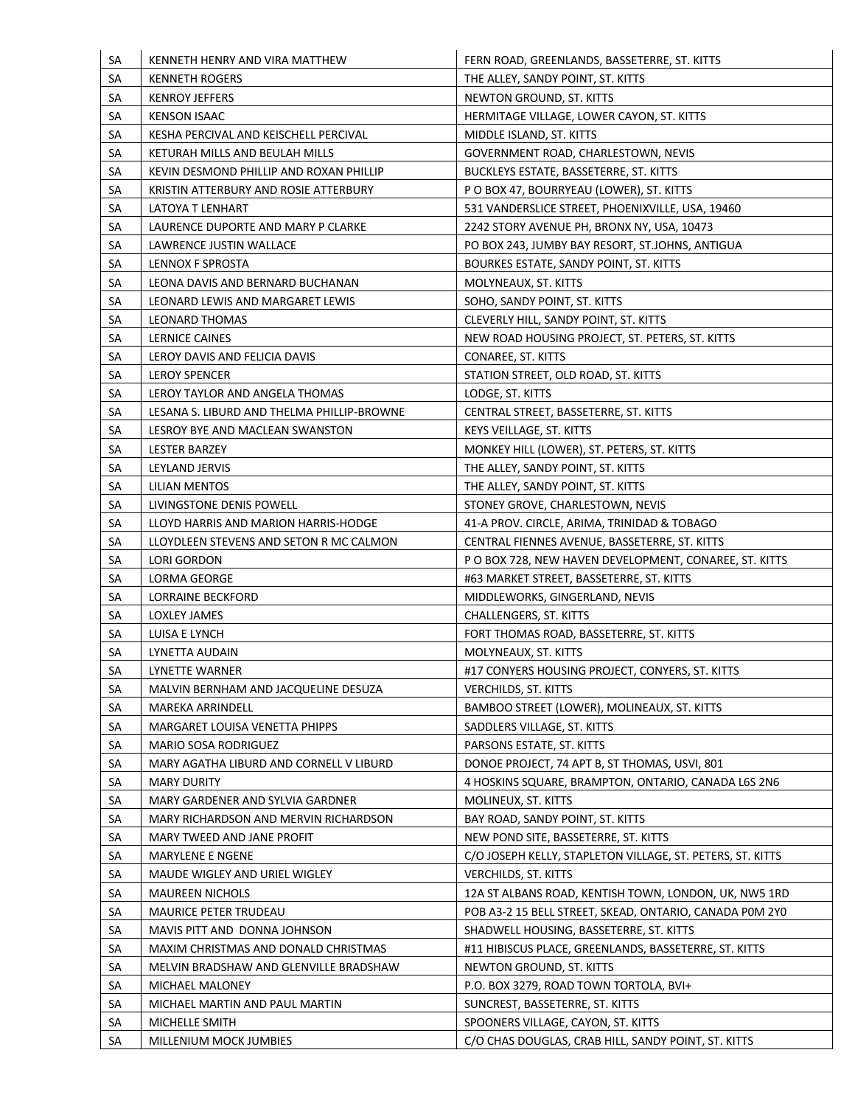| SA        | KENNETH HENRY AND VIRA MATTHEW             | FERN ROAD, GREENLANDS, BASSETERRE, ST. KITTS               |
|-----------|--------------------------------------------|------------------------------------------------------------|
| SA        | <b>KENNETH ROGERS</b>                      | THE ALLEY, SANDY POINT, ST. KITTS                          |
| SA        | <b>KENROY JEFFERS</b>                      | NEWTON GROUND, ST. KITTS                                   |
| SA        | <b>KENSON ISAAC</b>                        | HERMITAGE VILLAGE, LOWER CAYON, ST. KITTS                  |
| SA        | KESHA PERCIVAL AND KEISCHELL PERCIVAL      | MIDDLE ISLAND, ST. KITTS                                   |
| SA        | KETURAH MILLS AND BEULAH MILLS             | GOVERNMENT ROAD, CHARLESTOWN, NEVIS                        |
| <b>SA</b> | KEVIN DESMOND PHILLIP AND ROXAN PHILLIP    | BUCKLEYS ESTATE, BASSETERRE, ST. KITTS                     |
| SА        | KRISTIN ATTERBURY AND ROSIE ATTERBURY      | P O BOX 47, BOURRYEAU (LOWER), ST. KITTS                   |
| SA        | LATOYA T LENHART                           | 531 VANDERSLICE STREET, PHOENIXVILLE, USA, 19460           |
| SA        | LAURENCE DUPORTE AND MARY P CLARKE         | 2242 STORY AVENUE PH, BRONX NY, USA, 10473                 |
| SА        | LAWRENCE JUSTIN WALLACE                    | PO BOX 243, JUMBY BAY RESORT, ST.JOHNS, ANTIGUA            |
| SА        | LENNOX F SPROSTA                           | BOURKES ESTATE, SANDY POINT, ST. KITTS                     |
| SА        | LEONA DAVIS AND BERNARD BUCHANAN           | MOLYNEAUX, ST. KITTS                                       |
| SА        | LEONARD LEWIS AND MARGARET LEWIS           | SOHO, SANDY POINT, ST. KITTS                               |
| SА        | LEONARD THOMAS                             | CLEVERLY HILL, SANDY POINT, ST. KITTS                      |
| <b>SA</b> | <b>LERNICE CAINES</b>                      | NEW ROAD HOUSING PROJECT, ST. PETERS, ST. KITTS            |
| <b>SA</b> | LEROY DAVIS AND FELICIA DAVIS              | <b>CONAREE, ST. KITTS</b>                                  |
| SА        | <b>LEROY SPENCER</b>                       | STATION STREET, OLD ROAD, ST. KITTS                        |
| SA        | LEROY TAYLOR AND ANGELA THOMAS             | LODGE, ST. KITTS                                           |
| SA        | LESANA S. LIBURD AND THELMA PHILLIP-BROWNE | CENTRAL STREET, BASSETERRE, ST. KITTS                      |
| <b>SA</b> | LESROY BYE AND MACLEAN SWANSTON            | KEYS VEILLAGE, ST. KITTS                                   |
| SA        | <b>LESTER BARZEY</b>                       | MONKEY HILL (LOWER), ST. PETERS, ST. KITTS                 |
| SА        | LEYLAND JERVIS                             | THE ALLEY, SANDY POINT, ST. KITTS                          |
| <b>SA</b> | LILIAN MENTOS                              | THE ALLEY, SANDY POINT, ST. KITTS                          |
| SA        | LIVINGSTONE DENIS POWELL                   | STONEY GROVE, CHARLESTOWN, NEVIS                           |
| <b>SA</b> | LLOYD HARRIS AND MARION HARRIS-HODGE       | 41-A PROV. CIRCLE, ARIMA, TRINIDAD & TOBAGO                |
| SА        | LLOYDLEEN STEVENS AND SETON R MC CALMON    | CENTRAL FIENNES AVENUE, BASSETERRE, ST. KITTS              |
| <b>SA</b> | <b>LORI GORDON</b>                         | P O BOX 728, NEW HAVEN DEVELOPMENT, CONAREE, ST. KITTS     |
| <b>SA</b> | LORMA GEORGE                               | #63 MARKET STREET, BASSETERRE, ST. KITTS                   |
| SA        | <b>LORRAINE BECKFORD</b>                   | MIDDLEWORKS, GINGERLAND, NEVIS                             |
| SA        | LOXLEY JAMES                               | CHALLENGERS, ST. KITTS                                     |
| SА        | LUISA E LYNCH                              | FORT THOMAS ROAD, BASSETERRE, ST. KITTS                    |
| <b>SA</b> | LYNETTA AUDAIN                             | MOLYNEAUX, ST. KITTS                                       |
| SA        | LYNETTE WARNER                             | #17 CONYERS HOUSING PROJECT, CONYERS, ST. KITTS            |
| <b>SA</b> | MALVIN BERNHAM AND JACQUELINE DESUZA       | <b>VERCHILDS, ST. KITTS</b>                                |
| <b>SA</b> | MAREKA ARRINDELL                           | BAMBOO STREET (LOWER), MOLINEAUX, ST. KITTS                |
| <b>SA</b> | MARGARET LOUISA VENETTA PHIPPS             | SADDLERS VILLAGE, ST. KITTS                                |
| <b>SA</b> | <b>MARIO SOSA RODRIGUEZ</b>                | PARSONS ESTATE, ST. KITTS                                  |
| <b>SA</b> | MARY AGATHA LIBURD AND CORNELL V LIBURD    | DONOE PROJECT, 74 APT B, ST THOMAS, USVI, 801              |
| SA        | <b>MARY DURITY</b>                         | 4 HOSKINS SQUARE, BRAMPTON, ONTARIO, CANADA L6S 2N6        |
| SA        | MARY GARDENER AND SYLVIA GARDNER           | MOLINEUX, ST. KITTS                                        |
| <b>SA</b> | MARY RICHARDSON AND MERVIN RICHARDSON      | BAY ROAD, SANDY POINT, ST. KITTS                           |
| SA        | MARY TWEED AND JANE PROFIT                 | NEW POND SITE, BASSETERRE, ST. KITTS                       |
| SA        | MARYLENE E NGENE                           | C/O JOSEPH KELLY, STAPLETON VILLAGE, ST. PETERS, ST. KITTS |
| <b>SA</b> | MAUDE WIGLEY AND URIEL WIGLEY              | <b>VERCHILDS, ST. KITTS</b>                                |
| SA        | <b>MAUREEN NICHOLS</b>                     | 12A ST ALBANS ROAD, KENTISH TOWN, LONDON, UK, NW5 1RD      |
| <b>SA</b> | <b>MAURICE PETER TRUDEAU</b>               | POB A3-2 15 BELL STREET, SKEAD, ONTARIO, CANADA POM 2YO    |
| <b>SA</b> | MAVIS PITT AND DONNA JOHNSON               | SHADWELL HOUSING, BASSETERRE, ST. KITTS                    |
| SA        | MAXIM CHRISTMAS AND DONALD CHRISTMAS       | #11 HIBISCUS PLACE, GREENLANDS, BASSETERRE, ST. KITTS      |
| SA        | MELVIN BRADSHAW AND GLENVILLE BRADSHAW     | NEWTON GROUND, ST. KITTS                                   |
| SA        | MICHAEL MALONEY                            | P.O. BOX 3279, ROAD TOWN TORTOLA, BVI+                     |
| SA        | MICHAEL MARTIN AND PAUL MARTIN             | SUNCREST, BASSETERRE, ST. KITTS                            |
| SA        | MICHELLE SMITH                             | SPOONERS VILLAGE, CAYON, ST. KITTS                         |
| SA        | MILLENIUM MOCK JUMBIES                     | C/O CHAS DOUGLAS, CRAB HILL, SANDY POINT, ST. KITTS        |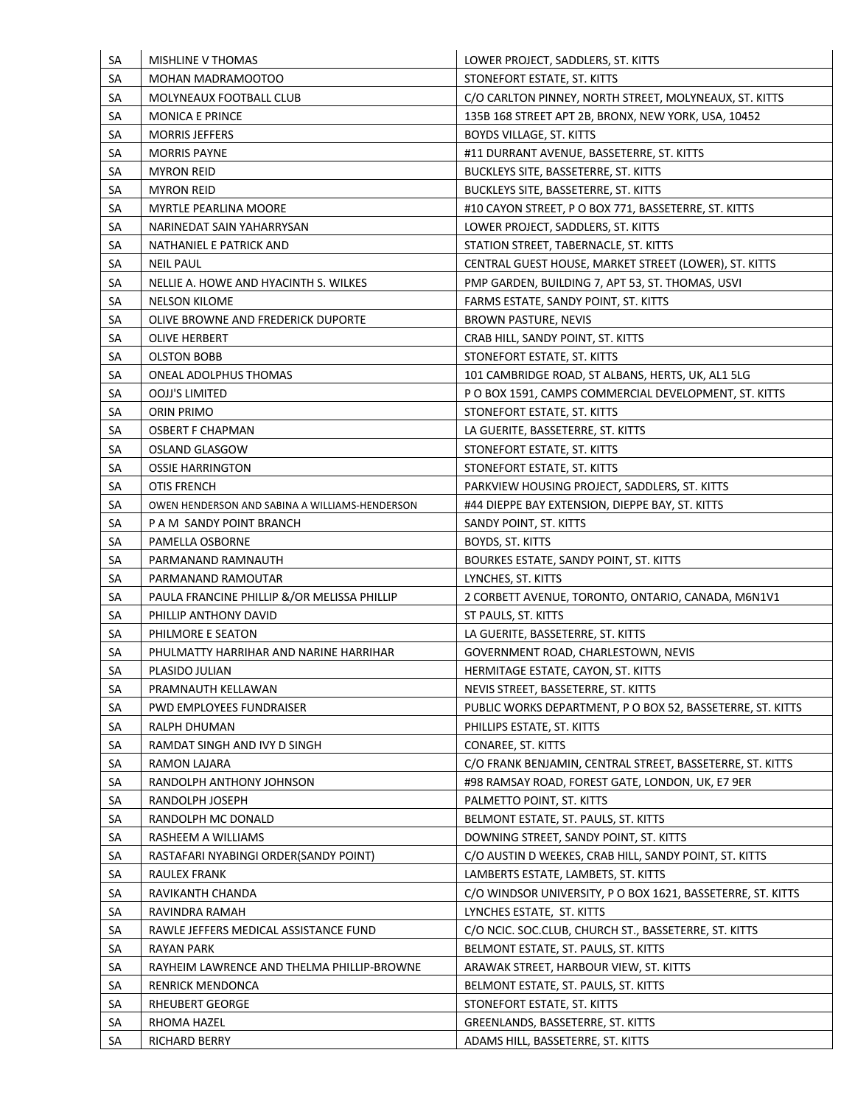| <b>SA</b> | <b>MISHLINE V THOMAS</b>                       | LOWER PROJECT, SADDLERS, ST. KITTS                          |
|-----------|------------------------------------------------|-------------------------------------------------------------|
| SA        | MOHAN MADRAMOOTOO                              | STONEFORT ESTATE, ST. KITTS                                 |
| SA        | MOLYNEAUX FOOTBALL CLUB                        | C/O CARLTON PINNEY, NORTH STREET, MOLYNEAUX, ST. KITTS      |
| SA        | <b>MONICA E PRINCE</b>                         | 135B 168 STREET APT 2B, BRONX, NEW YORK, USA, 10452         |
| SA        | <b>MORRIS JEFFERS</b>                          | <b>BOYDS VILLAGE, ST. KITTS</b>                             |
| SA        | <b>MORRIS PAYNE</b>                            | #11 DURRANT AVENUE, BASSETERRE, ST. KITTS                   |
| SA        | <b>MYRON REID</b>                              | BUCKLEYS SITE, BASSETERRE, ST. KITTS                        |
| SA        | <b>MYRON REID</b>                              | BUCKLEYS SITE, BASSETERRE, ST. KITTS                        |
| <b>SA</b> | <b>MYRTLE PEARLINA MOORE</b>                   | #10 CAYON STREET, P O BOX 771, BASSETERRE, ST. KITTS        |
| SA        | NARINEDAT SAIN YAHARRYSAN                      | LOWER PROJECT, SADDLERS, ST. KITTS                          |
| SA        | NATHANIEL E PATRICK AND                        | STATION STREET, TABERNACLE, ST. KITTS                       |
| SA        | <b>NEIL PAUL</b>                               | CENTRAL GUEST HOUSE, MARKET STREET (LOWER), ST. KITTS       |
| SA        | NELLIE A. HOWE AND HYACINTH S. WILKES          | PMP GARDEN, BUILDING 7, APT 53, ST. THOMAS, USVI            |
| SA        | <b>NELSON KILOME</b>                           | FARMS ESTATE, SANDY POINT, ST. KITTS                        |
| SA        | OLIVE BROWNE AND FREDERICK DUPORTE             | <b>BROWN PASTURE, NEVIS</b>                                 |
| SA        | <b>OLIVE HERBERT</b>                           | CRAB HILL, SANDY POINT, ST. KITTS                           |
| <b>SA</b> | <b>OLSTON BOBB</b>                             | STONEFORT ESTATE, ST. KITTS                                 |
| SA        | <b>ONEAL ADOLPHUS THOMAS</b>                   | 101 CAMBRIDGE ROAD, ST ALBANS, HERTS, UK, AL1 5LG           |
| SA        | OOJJ'S LIMITED                                 | P O BOX 1591, CAMPS COMMERCIAL DEVELOPMENT, ST. KITTS       |
| SA        | <b>ORIN PRIMO</b>                              | STONEFORT ESTATE, ST. KITTS                                 |
| SA        | <b>OSBERT F CHAPMAN</b>                        | LA GUERITE, BASSETERRE, ST. KITTS                           |
| SA        | OSLAND GLASGOW                                 | STONEFORT ESTATE, ST. KITTS                                 |
| SA        | <b>OSSIE HARRINGTON</b>                        | STONEFORT ESTATE, ST. KITTS                                 |
| SА        | OTIS FRENCH                                    | PARKVIEW HOUSING PROJECT, SADDLERS, ST. KITTS               |
| SA        | OWEN HENDERSON AND SABINA A WILLIAMS-HENDERSON | #44 DIEPPE BAY EXTENSION, DIEPPE BAY, ST. KITTS             |
| SA        | P A M SANDY POINT BRANCH                       | SANDY POINT, ST. KITTS                                      |
| SA        | PAMELLA OSBORNE                                | BOYDS, ST. KITTS                                            |
| SA        | PARMANAND RAMNAUTH                             | BOURKES ESTATE, SANDY POINT, ST. KITTS                      |
| <b>SA</b> | PARMANAND RAMOUTAR                             | LYNCHES, ST. KITTS                                          |
| <b>SA</b> | PAULA FRANCINE PHILLIP &/OR MELISSA PHILLIP    | 2 CORBETT AVENUE, TORONTO, ONTARIO, CANADA, M6N1V1          |
| SA        | PHILLIP ANTHONY DAVID                          | ST PAULS, ST. KITTS                                         |
| SA        | PHILMORE E SEATON                              | LA GUERITE, BASSETERRE, ST. KITTS                           |
| SA        | PHULMATTY HARRIHAR AND NARINE HARRIHAR         | GOVERNMENT ROAD, CHARLESTOWN, NEVIS                         |
|           |                                                |                                                             |
| SA        | PLASIDO JULIAN<br>PRAMNAUTH KELLAWAN           | HERMITAGE ESTATE, CAYON, ST. KITTS                          |
| <b>SA</b> |                                                | NEVIS STREET, BASSETERRE, ST. KITTS                         |
| <b>SA</b> | PWD EMPLOYEES FUNDRAISER                       | PUBLIC WORKS DEPARTMENT, P O BOX 52, BASSETERRE, ST. KITTS  |
| SA        | RALPH DHUMAN                                   | PHILLIPS ESTATE, ST. KITTS                                  |
| SA        | RAMDAT SINGH AND IVY D SINGH                   | CONAREE, ST. KITTS                                          |
| <b>SA</b> | RAMON LAJARA                                   | C/O FRANK BENJAMIN, CENTRAL STREET, BASSETERRE, ST. KITTS   |
| <b>SA</b> | RANDOLPH ANTHONY JOHNSON                       | #98 RAMSAY ROAD, FOREST GATE, LONDON, UK, E7 9ER            |
| SA        | RANDOLPH JOSEPH                                | PALMETTO POINT, ST. KITTS                                   |
| <b>SA</b> | RANDOLPH MC DONALD                             | BELMONT ESTATE, ST. PAULS, ST. KITTS                        |
| <b>SA</b> | RASHEEM A WILLIAMS                             | DOWNING STREET, SANDY POINT, ST. KITTS                      |
| SA        | RASTAFARI NYABINGI ORDER(SANDY POINT)          | C/O AUSTIN D WEEKES, CRAB HILL, SANDY POINT, ST. KITTS      |
| <b>SA</b> | <b>RAULEX FRANK</b>                            | LAMBERTS ESTATE, LAMBETS, ST. KITTS                         |
| <b>SA</b> | RAVIKANTH CHANDA                               | C/O WINDSOR UNIVERSITY, P O BOX 1621, BASSETERRE, ST. KITTS |
| SA        | RAVINDRA RAMAH                                 | LYNCHES ESTATE, ST. KITTS                                   |
| SA        | RAWLE JEFFERS MEDICAL ASSISTANCE FUND          | C/O NCIC. SOC.CLUB, CHURCH ST., BASSETERRE, ST. KITTS       |
| <b>SA</b> | <b>RAYAN PARK</b>                              | BELMONT ESTATE, ST. PAULS, ST. KITTS                        |
| SA        | RAYHEIM LAWRENCE AND THELMA PHILLIP-BROWNE     | ARAWAK STREET, HARBOUR VIEW, ST. KITTS                      |
| SA        | <b>RENRICK MENDONCA</b>                        | BELMONT ESTATE, ST. PAULS, ST. KITTS                        |
| SA        | RHEUBERT GEORGE                                | STONEFORT ESTATE, ST. KITTS                                 |
| SA        | RHOMA HAZEL                                    | GREENLANDS, BASSETERRE, ST. KITTS                           |
| SA        | RICHARD BERRY                                  | ADAMS HILL, BASSETERRE, ST. KITTS                           |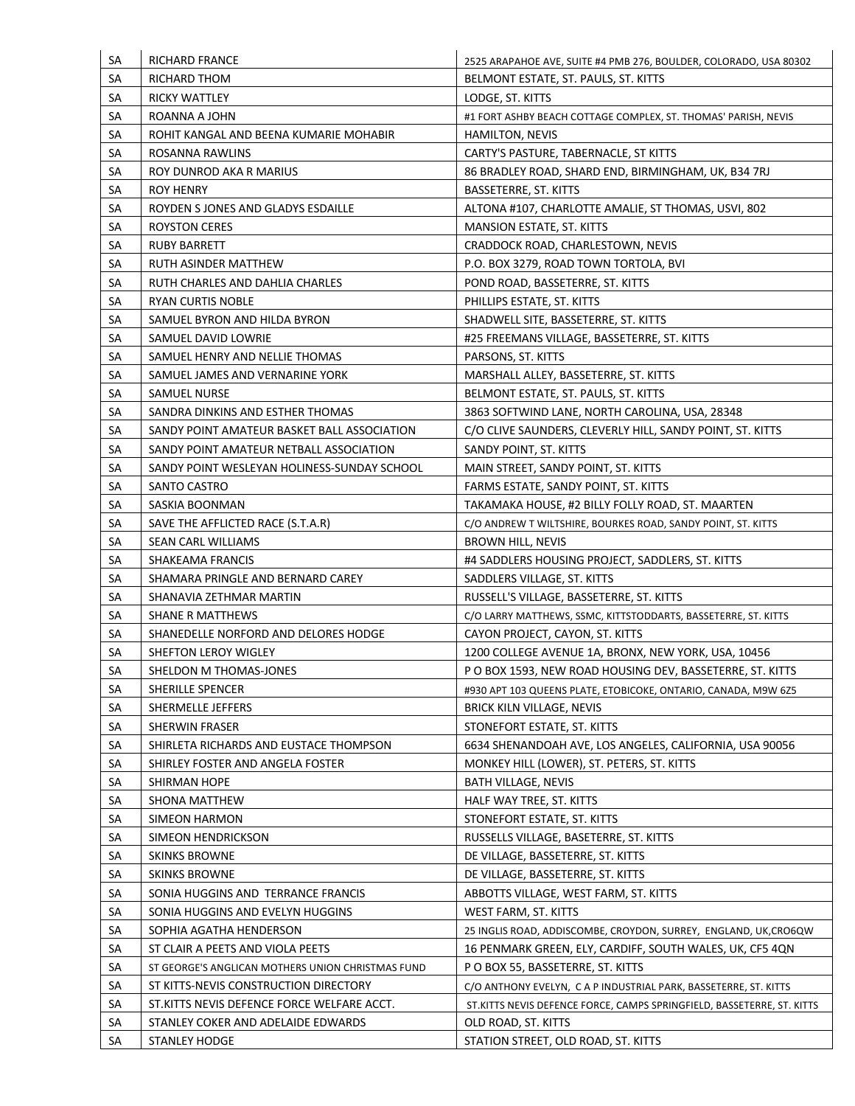| <b>SA</b> | <b>RICHARD FRANCE</b>                             | 2525 ARAPAHOE AVE, SUITE #4 PMB 276, BOULDER, COLORADO, USA 80302                                                |
|-----------|---------------------------------------------------|------------------------------------------------------------------------------------------------------------------|
| SA        | RICHARD THOM                                      | BELMONT ESTATE, ST. PAULS, ST. KITTS                                                                             |
| SA        | RICKY WATTLEY                                     | LODGE, ST. KITTS                                                                                                 |
| SА        | ROANNA A JOHN                                     | #1 FORT ASHBY BEACH COTTAGE COMPLEX, ST. THOMAS' PARISH, NEVIS                                                   |
| SA        | ROHIT KANGAL AND BEENA KUMARIE MOHABIR            | <b>HAMILTON, NEVIS</b>                                                                                           |
| SА        | ROSANNA RAWLINS                                   | CARTY'S PASTURE, TABERNACLE, ST KITTS                                                                            |
| SA        | ROY DUNROD AKA R MARIUS                           | 86 BRADLEY ROAD, SHARD END, BIRMINGHAM, UK, B34 7RJ                                                              |
| SA        | ROY HENRY                                         | BASSETERRE, ST. KITTS                                                                                            |
| SА        | ROYDEN SJONES AND GLADYS ESDAILLE                 | ALTONA #107, CHARLOTTE AMALIE, ST THOMAS, USVI, 802                                                              |
| SA        | <b>ROYSTON CERES</b>                              | MANSION ESTATE, ST. KITTS                                                                                        |
| SA        | <b>RUBY BARRETT</b>                               | CRADDOCK ROAD, CHARLESTOWN, NEVIS                                                                                |
| SА        | RUTH ASINDER MATTHEW                              | P.O. BOX 3279, ROAD TOWN TORTOLA, BVI                                                                            |
| SA        | RUTH CHARLES AND DAHLIA CHARLES                   | POND ROAD, BASSETERRE, ST. KITTS                                                                                 |
| SA        | RYAN CURTIS NOBLE                                 | PHILLIPS ESTATE, ST. KITTS                                                                                       |
| SA        | SAMUEL BYRON AND HILDA BYRON                      | SHADWELL SITE, BASSETERRE, ST. KITTS                                                                             |
| SA        | SAMUEL DAVID LOWRIE                               | #25 FREEMANS VILLAGE, BASSETERRE, ST. KITTS                                                                      |
| SА        | SAMUEL HENRY AND NELLIE THOMAS                    | PARSONS, ST. KITTS                                                                                               |
| SA        | SAMUEL JAMES AND VERNARINE YORK                   | MARSHALL ALLEY, BASSETERRE, ST. KITTS                                                                            |
| SА        | SAMUEL NURSE                                      | BELMONT ESTATE, ST. PAULS, ST. KITTS                                                                             |
| SA        | SANDRA DINKINS AND ESTHER THOMAS                  | 3863 SOFTWIND LANE, NORTH CAROLINA, USA, 28348                                                                   |
| SA        | SANDY POINT AMATEUR BASKET BALL ASSOCIATION       | C/O CLIVE SAUNDERS, CLEVERLY HILL, SANDY POINT, ST. KITTS                                                        |
| SA        | SANDY POINT AMATEUR NETBALL ASSOCIATION           | SANDY POINT, ST. KITTS                                                                                           |
| SА        | SANDY POINT WESLEYAN HOLINESS-SUNDAY SCHOOL       | MAIN STREET, SANDY POINT, ST. KITTS                                                                              |
| SА        | SANTO CASTRO                                      | FARMS ESTATE, SANDY POINT, ST. KITTS                                                                             |
| SА        | SASKIA BOONMAN                                    | TAKAMAKA HOUSE, #2 BILLY FOLLY ROAD, ST. MAARTEN                                                                 |
| SA        | SAVE THE AFFLICTED RACE (S.T.A.R)                 | C/O ANDREW T WILTSHIRE, BOURKES ROAD, SANDY POINT, ST. KITTS                                                     |
| SA        | SEAN CARL WILLIAMS                                | <b>BROWN HILL, NEVIS</b>                                                                                         |
| SА        | SHAKEAMA FRANCIS                                  | #4 SADDLERS HOUSING PROJECT, SADDLERS, ST. KITTS                                                                 |
| SA        | SHAMARA PRINGLE AND BERNARD CAREY                 | SADDLERS VILLAGE, ST. KITTS                                                                                      |
| SA        | SHANAVIA ZETHMAR MARTIN                           | RUSSELL'S VILLAGE, BASSETERRE, ST. KITTS                                                                         |
| SA        | <b>SHANE R MATTHEWS</b>                           | C/O LARRY MATTHEWS, SSMC, KITTSTODDARTS, BASSETERRE, ST. KITTS                                                   |
| SA        | SHANEDELLE NORFORD AND DELORES HODGE              | CAYON PROJECT, CAYON, ST. KITTS                                                                                  |
| SA        | SHEFTON LEROY WIGLEY                              |                                                                                                                  |
|           |                                                   | 1200 COLLEGE AVENUE 1A, BRONX, NEW YORK, USA, 10456<br>P O BOX 1593, NEW ROAD HOUSING DEV, BASSETERRE, ST. KITTS |
| SA        | SHELDON M THOMAS-JONES                            |                                                                                                                  |
| <b>SA</b> | SHERILLE SPENCER                                  | #930 APT 103 QUEENS PLATE, ETOBICOKE, ONTARIO, CANADA, M9W 6Z5                                                   |
| <b>SA</b> | SHERMELLE JEFFERS                                 | BRICK KILN VILLAGE, NEVIS                                                                                        |
| SA        | <b>SHERWIN FRASER</b>                             | STONEFORT ESTATE, ST. KITTS                                                                                      |
| SA        | SHIRLETA RICHARDS AND EUSTACE THOMPSON            | 6634 SHENANDOAH AVE, LOS ANGELES, CALIFORNIA, USA 90056                                                          |
| <b>SA</b> | SHIRLEY FOSTER AND ANGELA FOSTER                  | MONKEY HILL (LOWER), ST. PETERS, ST. KITTS                                                                       |
| <b>SA</b> | SHIRMAN HOPE                                      | <b>BATH VILLAGE, NEVIS</b>                                                                                       |
| <b>SA</b> | SHONA MATTHEW                                     | HALF WAY TREE, ST. KITTS                                                                                         |
| <b>SA</b> | <b>SIMEON HARMON</b>                              | STONEFORT ESTATE, ST. KITTS                                                                                      |
| <b>SA</b> | SIMEON HENDRICKSON                                | RUSSELLS VILLAGE, BASETERRE, ST. KITTS                                                                           |
| SА        | <b>SKINKS BROWNE</b>                              | DE VILLAGE, BASSETERRE, ST. KITTS                                                                                |
| <b>SA</b> | <b>SKINKS BROWNE</b>                              | DE VILLAGE, BASSETERRE, ST. KITTS                                                                                |
| <b>SA</b> | SONIA HUGGINS AND TERRANCE FRANCIS                | ABBOTTS VILLAGE, WEST FARM, ST. KITTS                                                                            |
| <b>SA</b> | SONIA HUGGINS AND EVELYN HUGGINS                  | WEST FARM, ST. KITTS                                                                                             |
| <b>SA</b> | SOPHIA AGATHA HENDERSON                           | 25 INGLIS ROAD, ADDISCOMBE, CROYDON, SURREY, ENGLAND, UK, CRO6QW                                                 |
| <b>SA</b> | ST CLAIR A PEETS AND VIOLA PEETS                  | 16 PENMARK GREEN, ELY, CARDIFF, SOUTH WALES, UK, CF5 4QN                                                         |
| SА        | ST GEORGE'S ANGLICAN MOTHERS UNION CHRISTMAS FUND | P O BOX 55, BASSETERRE, ST. KITTS                                                                                |
| <b>SA</b> | ST KITTS-NEVIS CONSTRUCTION DIRECTORY             | C/O ANTHONY EVELYN, C A P INDUSTRIAL PARK, BASSETERRE, ST. KITTS                                                 |
| <b>SA</b> | ST.KITTS NEVIS DEFENCE FORCE WELFARE ACCT.        | ST.KITTS NEVIS DEFENCE FORCE, CAMPS SPRINGFIELD, BASSETERRE, ST. KITTS                                           |
| SA        | STANLEY COKER AND ADELAIDE EDWARDS                | OLD ROAD, ST. KITTS                                                                                              |
| SA        | <b>STANLEY HODGE</b>                              | STATION STREET, OLD ROAD, ST. KITTS                                                                              |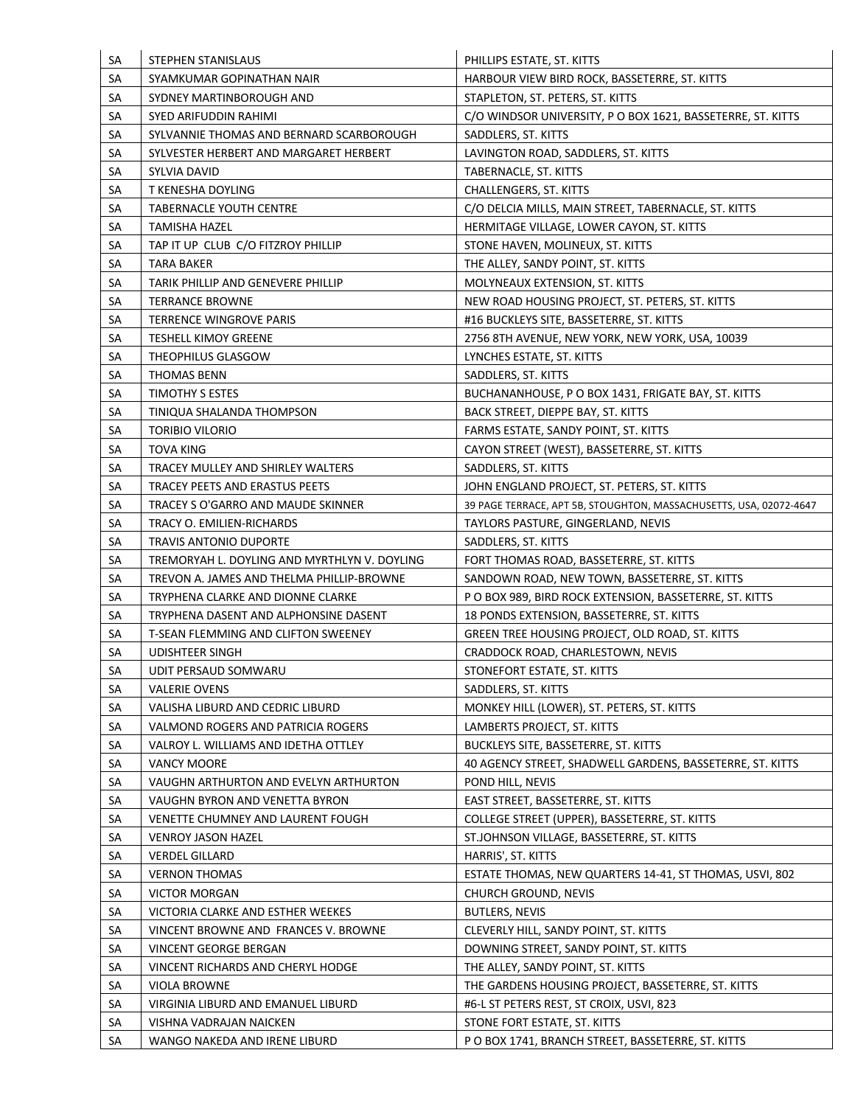| SA        | STEPHEN STANISLAUS                                       | PHILLIPS ESTATE, ST. KITTS                                                         |
|-----------|----------------------------------------------------------|------------------------------------------------------------------------------------|
| SA        | SYAMKUMAR GOPINATHAN NAIR                                | HARBOUR VIEW BIRD ROCK, BASSETERRE, ST. KITTS                                      |
| SA        | SYDNEY MARTINBOROUGH AND                                 | STAPLETON, ST. PETERS, ST. KITTS                                                   |
| SA        | SYED ARIFUDDIN RAHIMI                                    | C/O WINDSOR UNIVERSITY, P O BOX 1621, BASSETERRE, ST. KITTS                        |
| SA        | SYLVANNIE THOMAS AND BERNARD SCARBOROUGH                 | SADDLERS, ST. KITTS                                                                |
| <b>SA</b> | SYLVESTER HERBERT AND MARGARET HERBERT                   | LAVINGTON ROAD, SADDLERS, ST. KITTS                                                |
| SA        | SYLVIA DAVID                                             | TABERNACLE, ST. KITTS                                                              |
| SA        | T KENESHA DOYLING                                        | CHALLENGERS, ST. KITTS                                                             |
| SA        | <b>TABERNACLE YOUTH CENTRE</b>                           | C/O DELCIA MILLS, MAIN STREET, TABERNACLE, ST. KITTS                               |
| SA        | <b>TAMISHA HAZEL</b>                                     | HERMITAGE VILLAGE, LOWER CAYON, ST. KITTS                                          |
| SA        | TAP IT UP CLUB C/O FITZROY PHILLIP                       | STONE HAVEN, MOLINEUX, ST. KITTS                                                   |
| SA        | TARA BAKER                                               | THE ALLEY, SANDY POINT, ST. KITTS                                                  |
| SA        | TARIK PHILLIP AND GENEVERE PHILLIP                       | MOLYNEAUX EXTENSION, ST. KITTS                                                     |
| SA        | <b>TERRANCE BROWNE</b>                                   | NEW ROAD HOUSING PROJECT, ST. PETERS, ST. KITTS                                    |
| SA        | TERRENCE WINGROVE PARIS                                  | #16 BUCKLEYS SITE, BASSETERRE, ST. KITTS                                           |
| SA        | <b>TESHELL KIMOY GREENE</b>                              | 2756 8TH AVENUE, NEW YORK, NEW YORK, USA, 10039                                    |
| SA        | THEOPHILUS GLASGOW                                       | LYNCHES ESTATE, ST. KITTS                                                          |
| SA        | <b>THOMAS BENN</b>                                       | SADDLERS, ST. KITTS                                                                |
| SA        | TIMOTHY S ESTES                                          | BUCHANANHOUSE, P O BOX 1431, FRIGATE BAY, ST. KITTS                                |
| SA        | TINIQUA SHALANDA THOMPSON                                | BACK STREET, DIEPPE BAY, ST. KITTS                                                 |
| SA        | <b>TORIBIO VILORIO</b>                                   | FARMS ESTATE, SANDY POINT, ST. KITTS                                               |
| SA        | <b>TOVA KING</b>                                         | CAYON STREET (WEST), BASSETERRE, ST. KITTS                                         |
| SA        | TRACEY MULLEY AND SHIRLEY WALTERS                        | SADDLERS, ST. KITTS                                                                |
| <b>SA</b> | TRACEY PEETS AND ERASTUS PEETS                           | JOHN ENGLAND PROJECT, ST. PETERS, ST. KITTS                                        |
| <b>SA</b> | TRACEY S O'GARRO AND MAUDE SKINNER                       | 39 PAGE TERRACE, APT 5B, STOUGHTON, MASSACHUSETTS, USA, 02072-4647                 |
| SA        | TRACY O. EMILIEN-RICHARDS                                | TAYLORS PASTURE, GINGERLAND, NEVIS                                                 |
| SA        | <b>TRAVIS ANTONIO DUPORTE</b>                            | SADDLERS, ST. KITTS                                                                |
|           |                                                          |                                                                                    |
| SA        | TREMORYAH L. DOYLING AND MYRTHLYN V. DOYLING             | FORT THOMAS ROAD, BASSETERRE, ST. KITTS                                            |
| SA        | TREVON A. JAMES AND THELMA PHILLIP-BROWNE                | SANDOWN ROAD, NEW TOWN, BASSETERRE, ST. KITTS                                      |
| SA        | TRYPHENA CLARKE AND DIONNE CLARKE                        | P O BOX 989, BIRD ROCK EXTENSION, BASSETERRE, ST. KITTS                            |
| SA        | TRYPHENA DASENT AND ALPHONSINE DASENT                    | 18 PONDS EXTENSION, BASSETERRE, ST. KITTS                                          |
| SA        | T-SEAN FLEMMING AND CLIFTON SWEENEY                      | GREEN TREE HOUSING PROJECT, OLD ROAD, ST. KITTS                                    |
| SA        | <b>UDISHTEER SINGH</b>                                   | CRADDOCK ROAD, CHARLESTOWN, NEVIS                                                  |
| SA        | UDIT PERSAUD SOMWARU                                     | STONEFORT ESTATE, ST. KITTS                                                        |
| SA        | <b>VALERIE OVENS</b>                                     | SADDLERS, ST. KITTS                                                                |
| SA        | VALISHA LIBURD AND CEDRIC LIBURD                         | MONKEY HILL (LOWER), ST. PETERS, ST. KITTS                                         |
| SA        | VALMOND ROGERS AND PATRICIA ROGERS                       | LAMBERTS PROJECT, ST. KITTS                                                        |
| SA        | VALROY L. WILLIAMS AND IDETHA OTTLEY                     | BUCKLEYS SITE, BASSETERRE, ST. KITTS                                               |
| SA        | <b>VANCY MOORE</b>                                       | 40 AGENCY STREET, SHADWELL GARDENS, BASSETERRE, ST. KITTS                          |
| SA        | VAUGHN ARTHURTON AND EVELYN ARTHURTON                    | POND HILL, NEVIS                                                                   |
| SA        | VAUGHN BYRON AND VENETTA BYRON                           | EAST STREET, BASSETERRE, ST. KITTS                                                 |
| SA        | VENETTE CHUMNEY AND LAURENT FOUGH                        | COLLEGE STREET (UPPER), BASSETERRE, ST. KITTS                                      |
| SA        | <b>VENROY JASON HAZEL</b>                                | ST.JOHNSON VILLAGE, BASSETERRE, ST. KITTS                                          |
| SA        | <b>VERDEL GILLARD</b>                                    | HARRIS', ST. KITTS                                                                 |
| SA        | <b>VERNON THOMAS</b>                                     | ESTATE THOMAS, NEW QUARTERS 14-41, ST THOMAS, USVI, 802                            |
| SA        | <b>VICTOR MORGAN</b>                                     | <b>CHURCH GROUND, NEVIS</b>                                                        |
| SA        | VICTORIA CLARKE AND ESTHER WEEKES                        | <b>BUTLERS, NEVIS</b>                                                              |
| SA        | VINCENT BROWNE AND FRANCES V. BROWNE                     | CLEVERLY HILL, SANDY POINT, ST. KITTS                                              |
| SA        | VINCENT GEORGE BERGAN                                    | DOWNING STREET, SANDY POINT, ST. KITTS                                             |
| SA        | VINCENT RICHARDS AND CHERYL HODGE                        | THE ALLEY, SANDY POINT, ST. KITTS                                                  |
| SA        | <b>VIOLA BROWNE</b>                                      | THE GARDENS HOUSING PROJECT, BASSETERRE, ST. KITTS                                 |
| SA        | VIRGINIA LIBURD AND EMANUEL LIBURD                       | #6-L ST PETERS REST, ST CROIX, USVI, 823                                           |
| SA<br>SA  | VISHNA VADRAJAN NAICKEN<br>WANGO NAKEDA AND IRENE LIBURD | STONE FORT ESTATE, ST. KITTS<br>P O BOX 1741, BRANCH STREET, BASSETERRE, ST. KITTS |